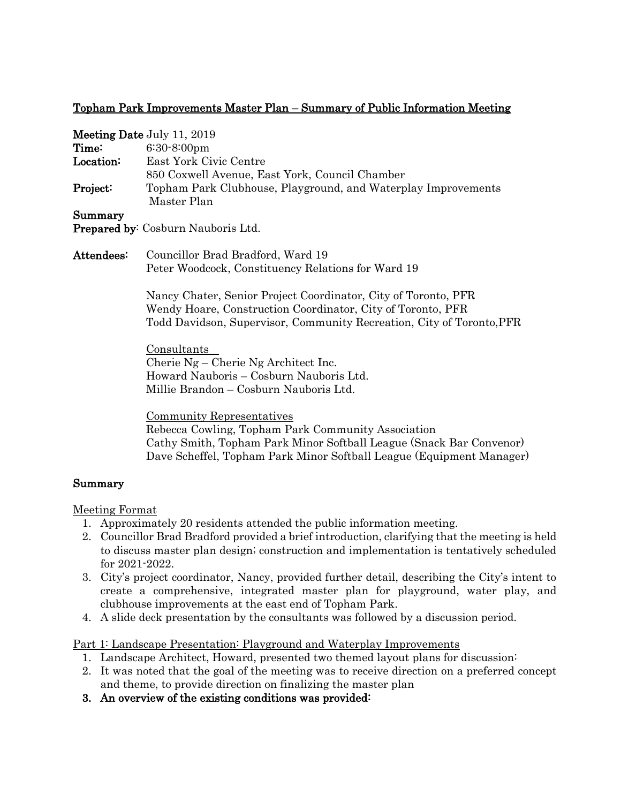## Topham Park Improvements Master Plan – Summary of Public Information Meeting

|            | <b>Meeting Date July 11, 2019</b>                                                                                                                                                                      |
|------------|--------------------------------------------------------------------------------------------------------------------------------------------------------------------------------------------------------|
| Time:      | $6:30-8:00$ pm                                                                                                                                                                                         |
| Location:  | East York Civic Centre                                                                                                                                                                                 |
|            | 850 Coxwell Avenue, East York, Council Chamber                                                                                                                                                         |
| Project:   | Topham Park Clubhouse, Playground, and Waterplay Improvements<br>Master Plan                                                                                                                           |
| Summary    |                                                                                                                                                                                                        |
|            | Prepared by: Cosburn Nauboris Ltd.                                                                                                                                                                     |
| Attendees: | Councillor Brad Bradford, Ward 19                                                                                                                                                                      |
|            | Peter Woodcock, Constituency Relations for Ward 19                                                                                                                                                     |
|            | Nancy Chater, Senior Project Coordinator, City of Toronto, PFR<br>Wendy Hoare, Construction Coordinator, City of Toronto, PFR<br>Todd Davidson, Supervisor, Community Recreation, City of Toronto, PFR |
|            | Consultants                                                                                                                                                                                            |
|            | Cherie $Ng$ – Cherie $Ng$ Architect Inc.                                                                                                                                                               |
|            | Howard Nauboris – Cosburn Nauboris Ltd.                                                                                                                                                                |
|            | Millie Brandon – Cosburn Nauboris Ltd.                                                                                                                                                                 |
|            | Community Representatives                                                                                                                                                                              |
|            | Rebecca Cowling, Topham Park Community Association                                                                                                                                                     |
|            | Cathy Smith, Topham Park Minor Softball League (Snack Bar Convenor)<br>Dave Scheffel, Topham Park Minor Softball League (Equipment Manager)                                                            |

## Summary

Meeting Format

- 1. Approximately 20 residents attended the public information meeting.
- 2. Councillor Brad Bradford provided a brief introduction, clarifying that the meeting is held to discuss master plan design; construction and implementation is tentatively scheduled for 2021-2022.
- 3. City's project coordinator, Nancy, provided further detail, describing the City's intent to create a comprehensive, integrated master plan for playground, water play, and clubhouse improvements at the east end of Topham Park.
- 4. A slide deck presentation by the consultants was followed by a discussion period.

Part 1: Landscape Presentation: Playground and Waterplay Improvements

- 1. Landscape Architect, Howard, presented two themed layout plans for discussion:
- 2. It was noted that the goal of the meeting was to receive direction on a preferred concept and theme, to provide direction on finalizing the master plan
- 3. An overview of the existing conditions was provided: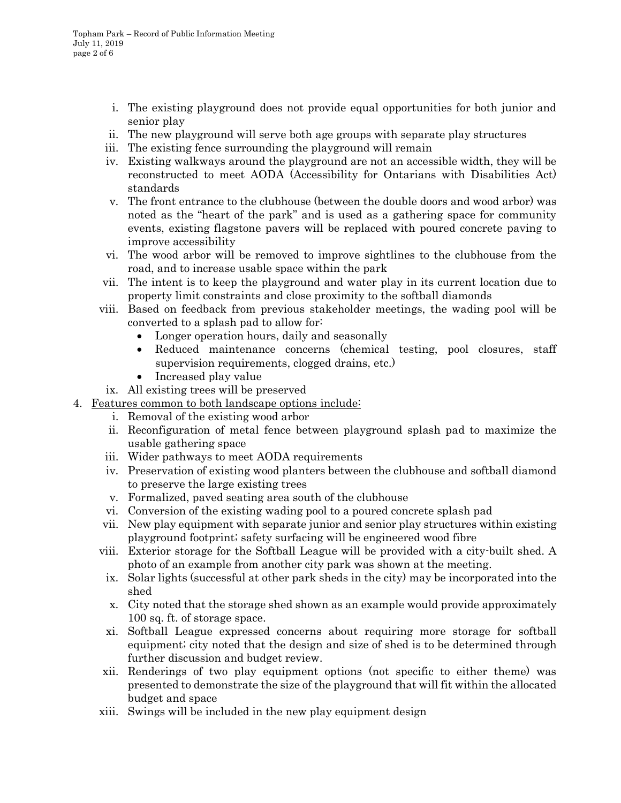- i. The existing playground does not provide equal opportunities for both junior and senior play
- ii. The new playground will serve both age groups with separate play structures
- iii. The existing fence surrounding the playground will remain
- iv. Existing walkways around the playground are not an accessible width, they will be reconstructed to meet AODA (Accessibility for Ontarians with Disabilities Act) standards
- v. The front entrance to the clubhouse (between the double doors and wood arbor) was noted as the "heart of the park" and is used as a gathering space for community events, existing flagstone pavers will be replaced with poured concrete paving to improve accessibility
- vi. The wood arbor will be removed to improve sightlines to the clubhouse from the road, and to increase usable space within the park
- vii. The intent is to keep the playground and water play in its current location due to property limit constraints and close proximity to the softball diamonds
- viii. Based on feedback from previous stakeholder meetings, the wading pool will be converted to a splash pad to allow for:
	- Longer operation hours, daily and seasonally
	- Reduced maintenance concerns (chemical testing, pool closures, staff supervision requirements, clogged drains, etc.)
	- Increased play value
	- ix. All existing trees will be preserved
- 4. Features common to both landscape options include:
	- i. Removal of the existing wood arbor
	- ii. Reconfiguration of metal fence between playground splash pad to maximize the usable gathering space
	- iii. Wider pathways to meet AODA requirements
	- iv. Preservation of existing wood planters between the clubhouse and softball diamond to preserve the large existing trees
	- v. Formalized, paved seating area south of the clubhouse
	- vi. Conversion of the existing wading pool to a poured concrete splash pad
	- vii. New play equipment with separate junior and senior play structures within existing playground footprint; safety surfacing will be engineered wood fibre
	- viii. Exterior storage for the Softball League will be provided with a city-built shed. A photo of an example from another city park was shown at the meeting.
	- ix. Solar lights (successful at other park sheds in the city) may be incorporated into the shed
	- x. City noted that the storage shed shown as an example would provide approximately 100 sq. ft. of storage space.
	- xi. Softball League expressed concerns about requiring more storage for softball equipment; city noted that the design and size of shed is to be determined through further discussion and budget review.
	- xii. Renderings of two play equipment options (not specific to either theme) was presented to demonstrate the size of the playground that will fit within the allocated budget and space
	- xiii. Swings will be included in the new play equipment design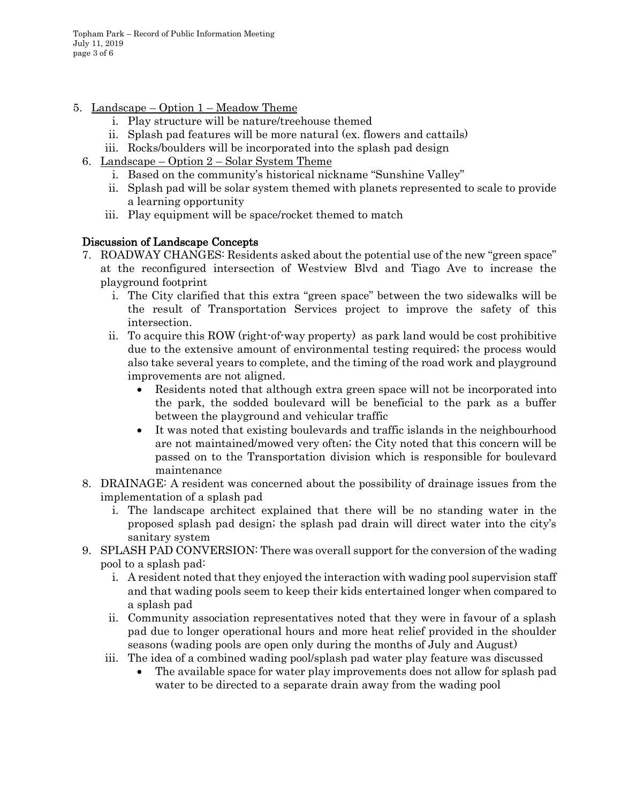Topham Park – Record of Public Information Meeting July 11, 2019 page 3 of 6

- 5. Landscape Option 1 Meadow Theme
	- i. Play structure will be nature/treehouse themed
	- ii. Splash pad features will be more natural (ex. flowers and cattails)
	- iii. Rocks/boulders will be incorporated into the splash pad design
	- 6. Landscape Option  $2$  Solar System Theme
		- i. Based on the community's historical nickname "Sunshine Valley"
		- ii. Splash pad will be solar system themed with planets represented to scale to provide a learning opportunity
		- iii. Play equipment will be space/rocket themed to match

# Discussion of Landscape Concepts

- 7. ROADWAY CHANGES: Residents asked about the potential use of the new "green space" at the reconfigured intersection of Westview Blvd and Tiago Ave to increase the playground footprint
	- i. The City clarified that this extra "green space" between the two sidewalks will be the result of Transportation Services project to improve the safety of this intersection.
	- ii. To acquire this ROW (right-of-way property) as park land would be cost prohibitive due to the extensive amount of environmental testing required; the process would also take several years to complete, and the timing of the road work and playground improvements are not aligned.
		- Residents noted that although extra green space will not be incorporated into the park, the sodded boulevard will be beneficial to the park as a buffer between the playground and vehicular traffic
		- It was noted that existing boulevards and traffic islands in the neighbourhood are not maintained/mowed very often; the City noted that this concern will be passed on to the Transportation division which is responsible for boulevard maintenance
- 8. DRAINAGE: A resident was concerned about the possibility of drainage issues from the implementation of a splash pad
	- i. The landscape architect explained that there will be no standing water in the proposed splash pad design; the splash pad drain will direct water into the city's sanitary system
- 9. SPLASH PAD CONVERSION: There was overall support for the conversion of the wading pool to a splash pad:
	- i. A resident noted that they enjoyed the interaction with wading pool supervision staff and that wading pools seem to keep their kids entertained longer when compared to a splash pad
	- ii. Community association representatives noted that they were in favour of a splash pad due to longer operational hours and more heat relief provided in the shoulder seasons (wading pools are open only during the months of July and August)
	- iii. The idea of a combined wading pool/splash pad water play feature was discussed
		- The available space for water play improvements does not allow for splash pad water to be directed to a separate drain away from the wading pool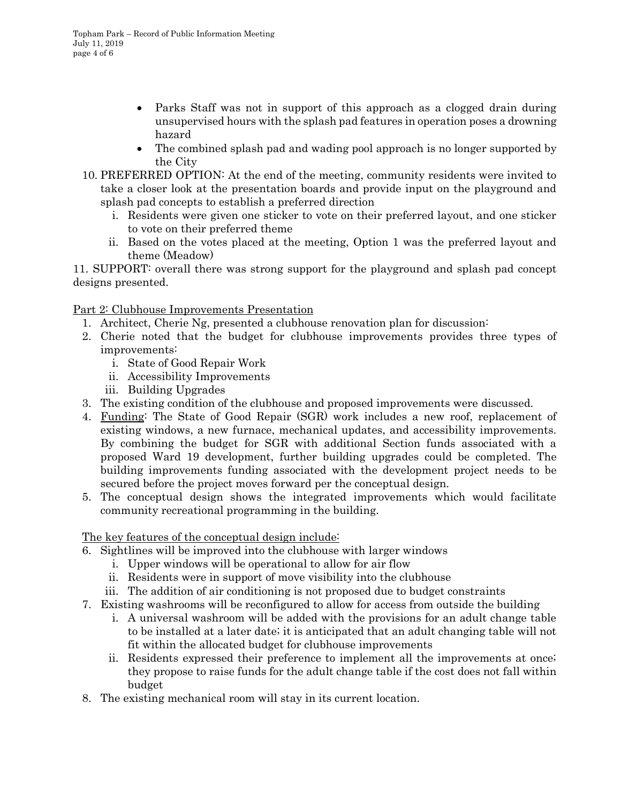- Parks Staff was not in support of this approach as a clogged drain during unsupervised hours with the splash pad features in operation poses a drowning hazard
- The combined splash pad and wading pool approach is no longer supported by the City
- 10. PREFERRED OPTION: At the end of the meeting, community residents were invited to take a closer look at the presentation boards and provide input on the playground and splash pad concepts to establish a preferred direction
	- i. Residents were given one sticker to vote on their preferred layout, and one sticker to vote on their preferred theme
	- ii. Based on the votes placed at the meeting, Option 1 was the preferred layout and theme (Meadow)

11. SUPPORT: overall there was strong support for the playground and splash pad concept designs presented.

## Part 2: Clubhouse Improvements Presentation

- 1. Architect, Cherie Ng, presented a clubhouse renovation plan for discussion:
- 2. Cherie noted that the budget for clubhouse improvements provides three types of improvements:
	- i. State of Good Repair Work
	- ii. Accessibility Improvements
	- iii. Building Upgrades
- 3. The existing condition of the clubhouse and proposed improvements were discussed.
- 4. Funding: The State of Good Repair (SGR) work includes a new roof, replacement of existing windows, a new furnace, mechanical updates, and accessibility improvements. By combining the budget for SGR with additional Section funds associated with a proposed Ward 19 development, further building upgrades could be completed. The building improvements funding associated with the development project needs to be secured before the project moves forward per the conceptual design.
- 5. The conceptual design shows the integrated improvements which would facilitate community recreational programming in the building.

## The key features of the conceptual design include:

- 6. Sightlines will be improved into the clubhouse with larger windows
	- i. Upper windows will be operational to allow for air flow
	- ii. Residents were in support of move visibility into the clubhouse
	- iii. The addition of air conditioning is not proposed due to budget constraints
- 7. Existing washrooms will be reconfigured to allow for access from outside the building
	- i. A universal washroom will be added with the provisions for an adult change table to be installed at a later date; it is anticipated that an adult changing table will not fit within the allocated budget for clubhouse improvements
	- ii. Residents expressed their preference to implement all the improvements at once; they propose to raise funds for the adult change table if the cost does not fall within budget
- 8. The existing mechanical room will stay in its current location.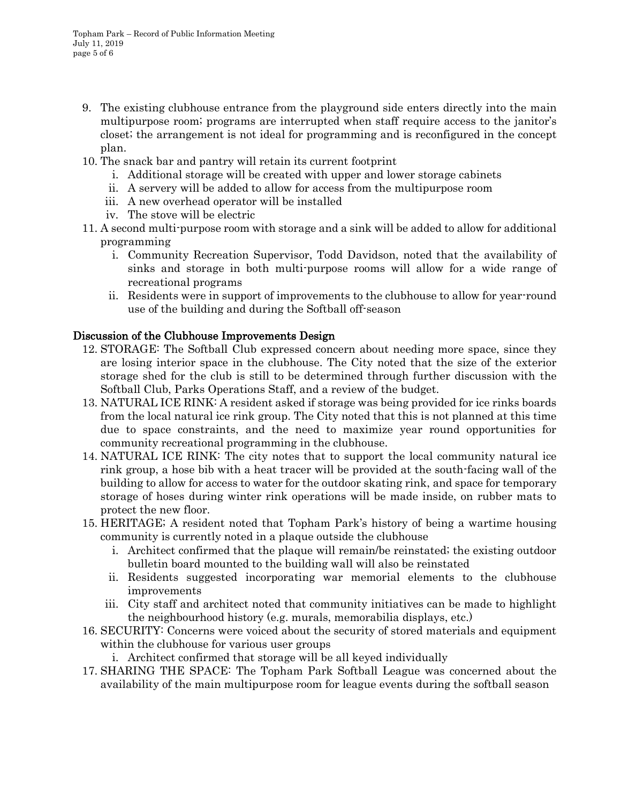- 9. The existing clubhouse entrance from the playground side enters directly into the main multipurpose room; programs are interrupted when staff require access to the janitor's closet; the arrangement is not ideal for programming and is reconfigured in the concept plan.
- 10. The snack bar and pantry will retain its current footprint
	- i. Additional storage will be created with upper and lower storage cabinets
	- ii. A servery will be added to allow for access from the multipurpose room
	- iii. A new overhead operator will be installed
	- iv. The stove will be electric
- 11. A second multi-purpose room with storage and a sink will be added to allow for additional programming
	- i. Community Recreation Supervisor, Todd Davidson, noted that the availability of sinks and storage in both multi-purpose rooms will allow for a wide range of recreational programs
	- ii. Residents were in support of improvements to the clubhouse to allow for year-round use of the building and during the Softball off-season

# Discussion of the Clubhouse Improvements Design

- 12. STORAGE: The Softball Club expressed concern about needing more space, since they are losing interior space in the clubhouse. The City noted that the size of the exterior storage shed for the club is still to be determined through further discussion with the Softball Club, Parks Operations Staff, and a review of the budget.
- 13. NATURAL ICE RINK: A resident asked if storage was being provided for ice rinks boards from the local natural ice rink group. The City noted that this is not planned at this time due to space constraints, and the need to maximize year round opportunities for community recreational programming in the clubhouse.
- 14. NATURAL ICE RINK: The city notes that to support the local community natural ice rink group, a hose bib with a heat tracer will be provided at the south-facing wall of the building to allow for access to water for the outdoor skating rink, and space for temporary storage of hoses during winter rink operations will be made inside, on rubber mats to protect the new floor.
- 15. HERITAGE; A resident noted that Topham Park's history of being a wartime housing community is currently noted in a plaque outside the clubhouse
	- i. Architect confirmed that the plaque will remain/be reinstated; the existing outdoor bulletin board mounted to the building wall will also be reinstated
	- ii. Residents suggested incorporating war memorial elements to the clubhouse improvements
	- iii. City staff and architect noted that community initiatives can be made to highlight the neighbourhood history (e.g. murals, memorabilia displays, etc.)
- 16. SECURITY: Concerns were voiced about the security of stored materials and equipment within the clubhouse for various user groups
	- i. Architect confirmed that storage will be all keyed individually
- 17. SHARING THE SPACE: The Topham Park Softball League was concerned about the availability of the main multipurpose room for league events during the softball season